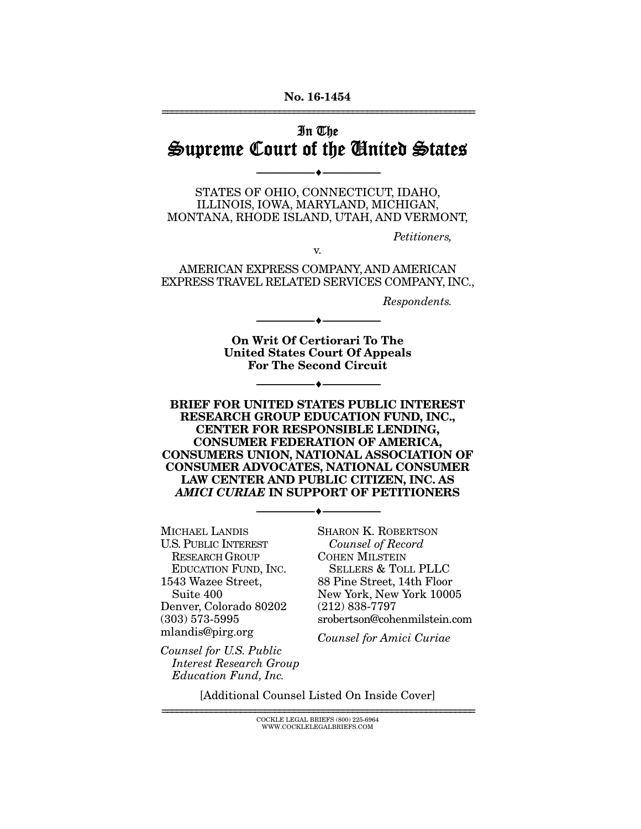#### No. 16-1454 ================================================================

## In The Supreme Court of the United States

STATES OF OHIO, CONNECTICUT, IDAHO, ILLINOIS, IOWA, MARYLAND, MICHIGAN, MONTANA, RHODE ISLAND, UTAH, AND VERMONT,

--------------------------------- ---------------------------------

*Petitioners,* 

AMERICAN EXPRESS COMPANY, AND AMERICAN EXPRESS TRAVEL RELATED SERVICES COMPANY, INC.,

v.

*Respondents.* 

On Writ Of Certiorari To The United States Court Of Appeals For The Second Circuit

--------------------------------- ---------------------------------

--------------------------------- ---------------------------------

BRIEF FOR UNITED STATES PUBLIC INTEREST RESEARCH GROUP EDUCATION FUND, INC., CENTER FOR RESPONSIBLE LENDING, CONSUMER FEDERATION OF AMERICA, CONSUMERS UNION, NATIONAL ASSOCIATION OF CONSUMER ADVOCATES, NATIONAL CONSUMER LAW CENTER AND PUBLIC CITIZEN, INC. AS *AMICI CURIAE* IN SUPPORT OF PETITIONERS

--------------------------------- ---------------------------------

MICHAEL LANDIS U.S. PUBLIC INTEREST RESEARCH GROUP EDUCATION FUND, INC. 1543 Wazee Street, Suite 400 Denver, Colorado 80202 (303) 573-5995 mlandis@pirg.org

SHARON K. ROBERTSON *Counsel of Record* COHEN MILSTEIN SELLERS & TOLL PLLC 88 Pine Street, 14th Floor New York, New York 10005 (212) 838-7797 srobertson@cohenmilstein.com

*Counsel for Amici Curiae* 

*Counsel for U.S. Public Interest Research Group Education Fund, Inc.* 

[Additional Counsel Listed On Inside Cover]

================================================================ COCKLE LEGAL BRIEFS (800) 225-6964 WWW.COCKLELEGALBRIEFS.COM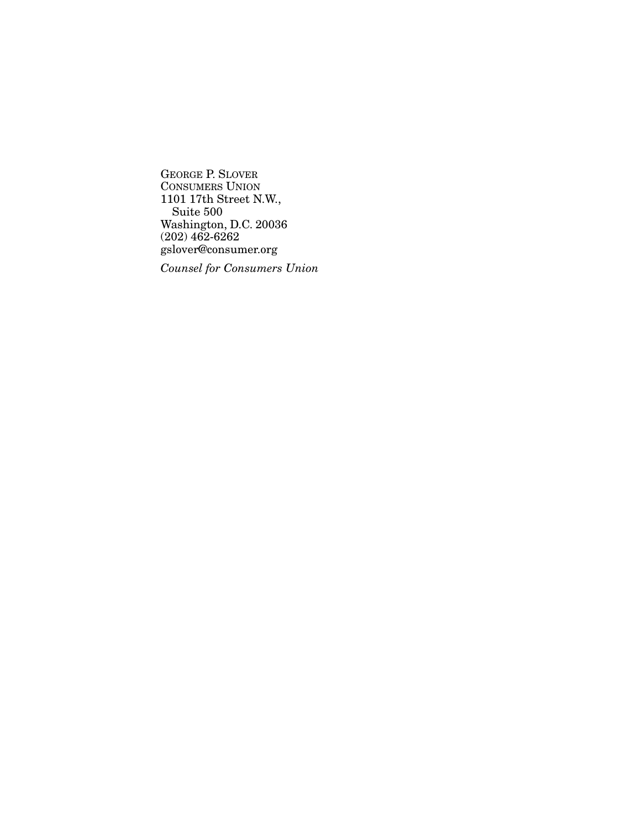GEORGE P. SLOVER CONSUMERS UNION 1101 17th Street N.W., Suite 500 Washington, D.C. 20036 (202) 462-6262 gslover@consumer.org

*Counsel for Consumers Union*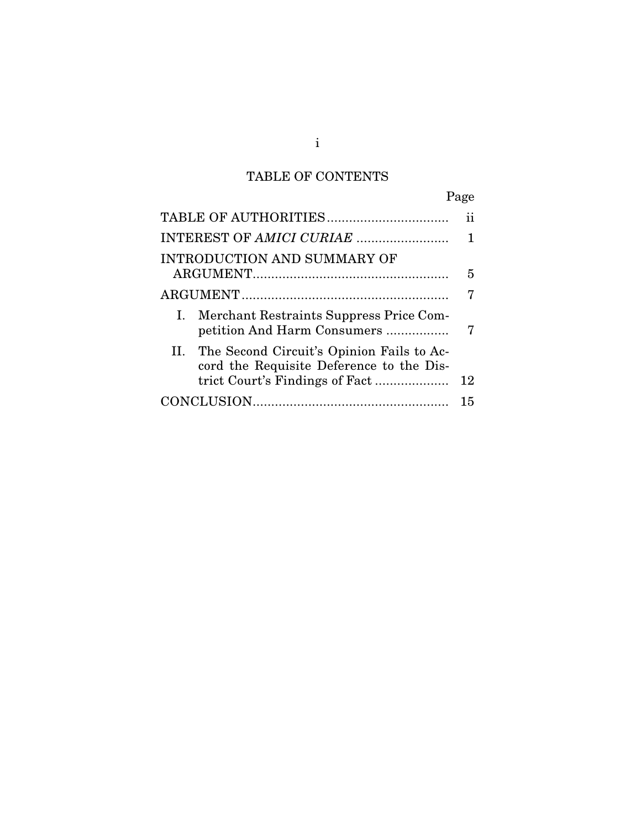## TABLE OF CONTENTS

|                                                                                           | Page |
|-------------------------------------------------------------------------------------------|------|
|                                                                                           | ij   |
|                                                                                           |      |
| INTRODUCTION AND SUMMARY OF                                                               |      |
|                                                                                           | 5    |
|                                                                                           |      |
| I. Merchant Restraints Suppress Price Com-<br>petition And Harm Consumers                 | 7    |
| II. The Second Circuit's Opinion Fails to Ac-<br>cord the Requisite Deference to the Dis- |      |
|                                                                                           | 12   |
|                                                                                           | 15   |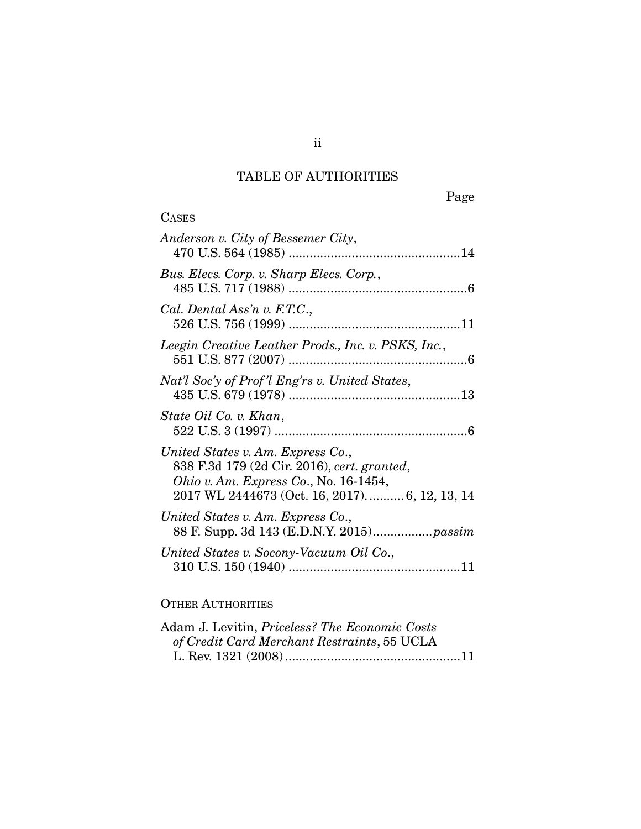# TABLE OF AUTHORITIES

| <b>CASES</b>                                                                                                                                                                          |
|---------------------------------------------------------------------------------------------------------------------------------------------------------------------------------------|
| Anderson v. City of Bessemer City,                                                                                                                                                    |
| Bus. Elecs. Corp. v. Sharp Elecs. Corp.,                                                                                                                                              |
| Cal. Dental Ass'n v. F.T.C.,                                                                                                                                                          |
| Leegin Creative Leather Prods., Inc. v. PSKS, Inc.,                                                                                                                                   |
| Nat'l Soc'y of Prof'l Eng'rs v. United States,                                                                                                                                        |
| State Oil Co. v. Khan,                                                                                                                                                                |
| United States v. Am. Express Co.,<br>838 F.3d 179 (2d Cir. 2016), cert. granted,<br><i>Ohio v. Am. Express Co.</i> , No. $16-1454$ ,<br>2017 WL 2444673 (Oct. 16, 2017) 6, 12, 13, 14 |
| United States v. Am. Express Co.,<br>88 F. Supp. 3d 143 (E.D.N.Y. 2015) passim                                                                                                        |
| United States v. Socony-Vacuum Oil Co.,                                                                                                                                               |
| <b>OTHER AUTHORITIES</b>                                                                                                                                                              |
| Adom I I cuitin Duiceless? The Fearenic Costa                                                                                                                                         |

| Adam J. Levitin, <i>Priceless? The Economic Costs</i> |  |
|-------------------------------------------------------|--|
| of Credit Card Merchant Restraints, 55 UCLA           |  |
|                                                       |  |

ii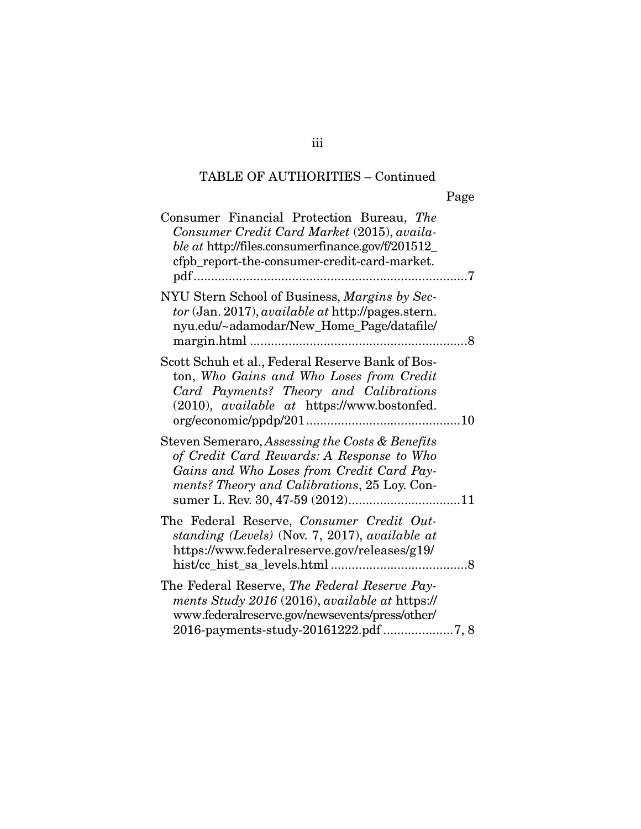## TABLE OF AUTHORITIES – Continued

| Consumer Financial Protection Bureau, The<br>Consumer Credit Card Market (2015), availa-<br>ble at http://files.consumerfinance.gov/f/201512_<br>cfpb_report-the-consumer-credit-card-market.<br>. 7 |  |
|------------------------------------------------------------------------------------------------------------------------------------------------------------------------------------------------------|--|
| NYU Stern School of Business, Margins by Sec-<br>tor (Jan. 2017), <i>available at</i> http://pages.stern.<br>nyu.edu/~adamodar/New_Home_Page/datafile/                                               |  |
| Scott Schuh et al., Federal Reserve Bank of Bos-<br>ton, Who Gains and Who Loses from Credit<br>Card Payments? Theory and Calibrations<br>(2010), available at https://www.bostonfed.                |  |
| Steven Semeraro, Assessing the Costs & Benefits<br>of Credit Card Rewards: A Response to Who<br>Gains and Who Loses from Credit Card Pay-<br>ments? Theory and Calibrations, 25 Loy. Con-            |  |
| The Federal Reserve, Consumer Credit Out-<br>standing (Levels) (Nov. 7, 2017), available at<br>https://www.federalreserve.gov/releases/g19/                                                          |  |
| The Federal Reserve, The Federal Reserve Pay-<br>ments Study 2016 (2016), available at https://<br>www.federalreserve.gov/newsevents/press/other/<br>2016-payments-study-20161222.pdf 7, 8           |  |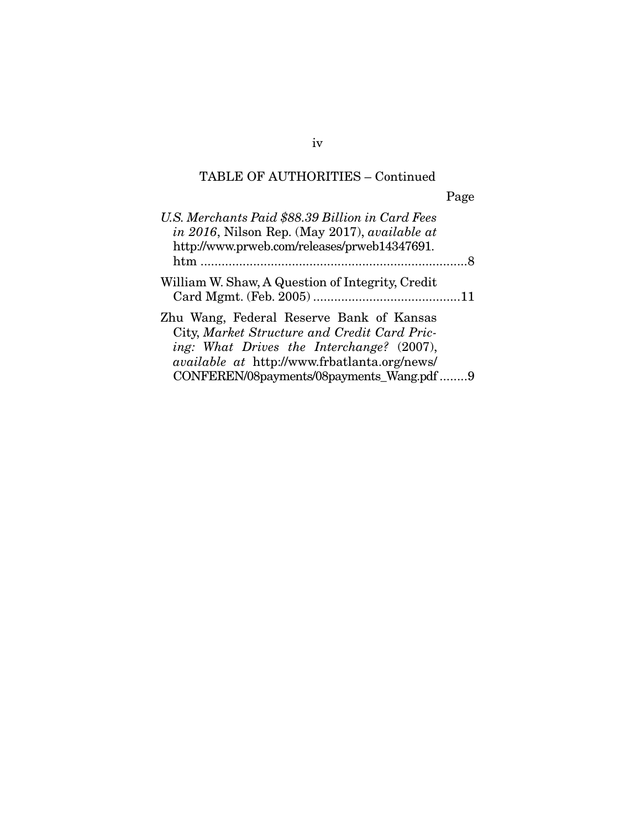## TABLE OF AUTHORITIES – Continued

|                                                                                                                                                                                                                                           | Page |
|-------------------------------------------------------------------------------------------------------------------------------------------------------------------------------------------------------------------------------------------|------|
| U.S. Merchants Paid \$88.39 Billion in Card Fees<br>in 2016, Nilson Rep. (May 2017), available at<br>http://www.prweb.com/releases/prweb14347691.<br>$htm$                                                                                |      |
| William W. Shaw, A Question of Integrity, Credit                                                                                                                                                                                          |      |
| Zhu Wang, Federal Reserve Bank of Kansas<br>City, Market Structure and Credit Card Pric-<br>ing: What Drives the Interchange? (2007),<br><i>available at http://www.frbatlanta.org/news/</i><br>CONFEREN/08payments/08payments_Wang.pdf 9 |      |

iv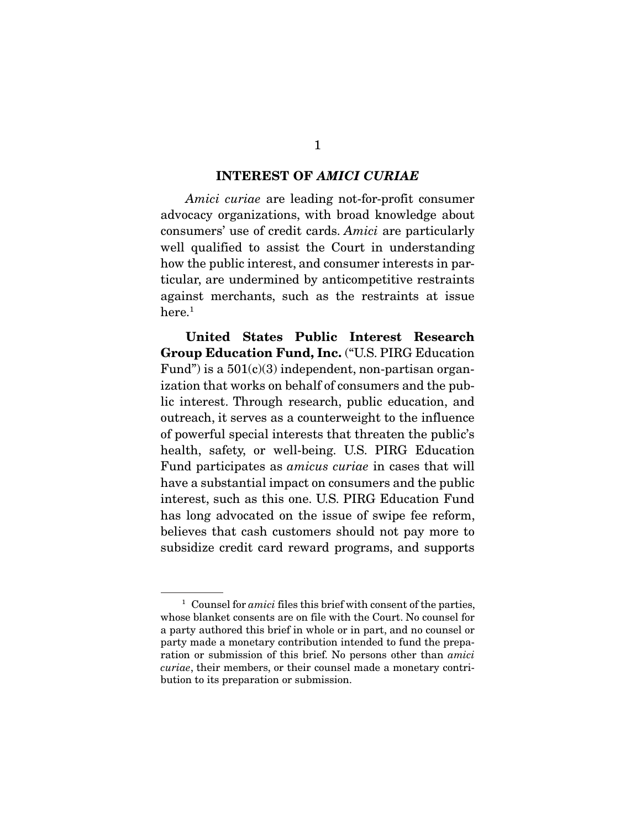#### INTEREST OF *AMICI CURIAE*

*Amici curiae* are leading not-for-profit consumer advocacy organizations, with broad knowledge about consumers' use of credit cards. *Amici* are particularly well qualified to assist the Court in understanding how the public interest, and consumer interests in particular, are undermined by anticompetitive restraints against merchants, such as the restraints at issue here.<sup>1</sup>

United States Public Interest Research Group Education Fund, Inc. ("U.S. PIRG Education Fund") is a  $501(c)(3)$  independent, non-partisan organization that works on behalf of consumers and the public interest. Through research, public education, and outreach, it serves as a counterweight to the influence of powerful special interests that threaten the public's health, safety, or well-being. U.S. PIRG Education Fund participates as *amicus curiae* in cases that will have a substantial impact on consumers and the public interest, such as this one. U.S. PIRG Education Fund has long advocated on the issue of swipe fee reform, believes that cash customers should not pay more to subsidize credit card reward programs, and supports

<sup>&</sup>lt;sup>1</sup> Counsel for *amici* files this brief with consent of the parties, whose blanket consents are on file with the Court. No counsel for a party authored this brief in whole or in part, and no counsel or party made a monetary contribution intended to fund the preparation or submission of this brief. No persons other than *amici curiae*, their members, or their counsel made a monetary contribution to its preparation or submission.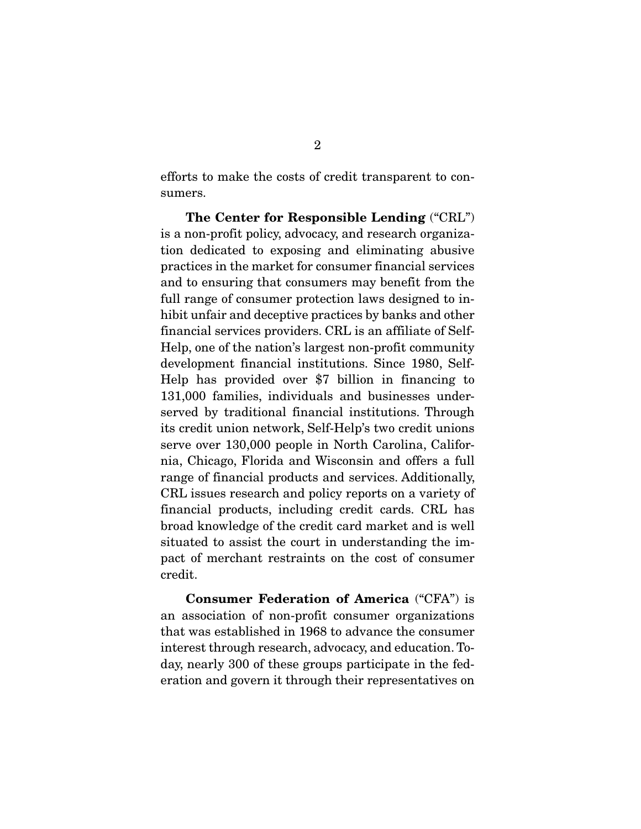efforts to make the costs of credit transparent to consumers.

The Center for Responsible Lending ("CRL") is a non-profit policy, advocacy, and research organization dedicated to exposing and eliminating abusive practices in the market for consumer financial services and to ensuring that consumers may benefit from the full range of consumer protection laws designed to inhibit unfair and deceptive practices by banks and other financial services providers. CRL is an affiliate of Self-Help, one of the nation's largest non-profit community development financial institutions. Since 1980, Self-Help has provided over \$7 billion in financing to 131,000 families, individuals and businesses underserved by traditional financial institutions. Through its credit union network, Self-Help's two credit unions serve over 130,000 people in North Carolina, California, Chicago, Florida and Wisconsin and offers a full range of financial products and services. Additionally, CRL issues research and policy reports on a variety of financial products, including credit cards. CRL has broad knowledge of the credit card market and is well situated to assist the court in understanding the impact of merchant restraints on the cost of consumer credit.

Consumer Federation of America ("CFA") is an association of non-profit consumer organizations that was established in 1968 to advance the consumer interest through research, advocacy, and education. Today, nearly 300 of these groups participate in the federation and govern it through their representatives on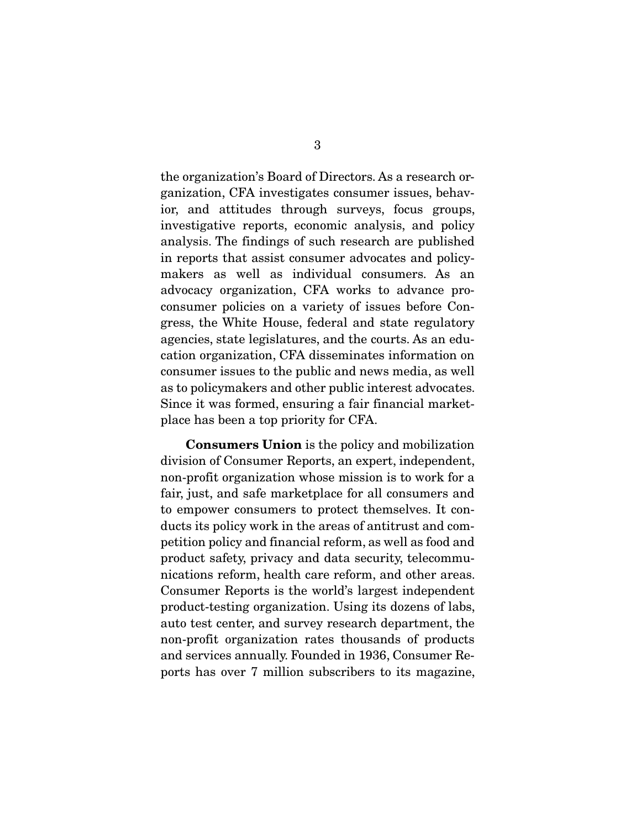the organization's Board of Directors. As a research organization, CFA investigates consumer issues, behavior, and attitudes through surveys, focus groups, investigative reports, economic analysis, and policy analysis. The findings of such research are published in reports that assist consumer advocates and policymakers as well as individual consumers. As an advocacy organization, CFA works to advance proconsumer policies on a variety of issues before Congress, the White House, federal and state regulatory agencies, state legislatures, and the courts. As an education organization, CFA disseminates information on consumer issues to the public and news media, as well as to policymakers and other public interest advocates. Since it was formed, ensuring a fair financial marketplace has been a top priority for CFA.

Consumers Union is the policy and mobilization division of Consumer Reports, an expert, independent, non-profit organization whose mission is to work for a fair, just, and safe marketplace for all consumers and to empower consumers to protect themselves. It conducts its policy work in the areas of antitrust and competition policy and financial reform, as well as food and product safety, privacy and data security, telecommunications reform, health care reform, and other areas. Consumer Reports is the world's largest independent product-testing organization. Using its dozens of labs, auto test center, and survey research department, the non-profit organization rates thousands of products and services annually. Founded in 1936, Consumer Reports has over 7 million subscribers to its magazine,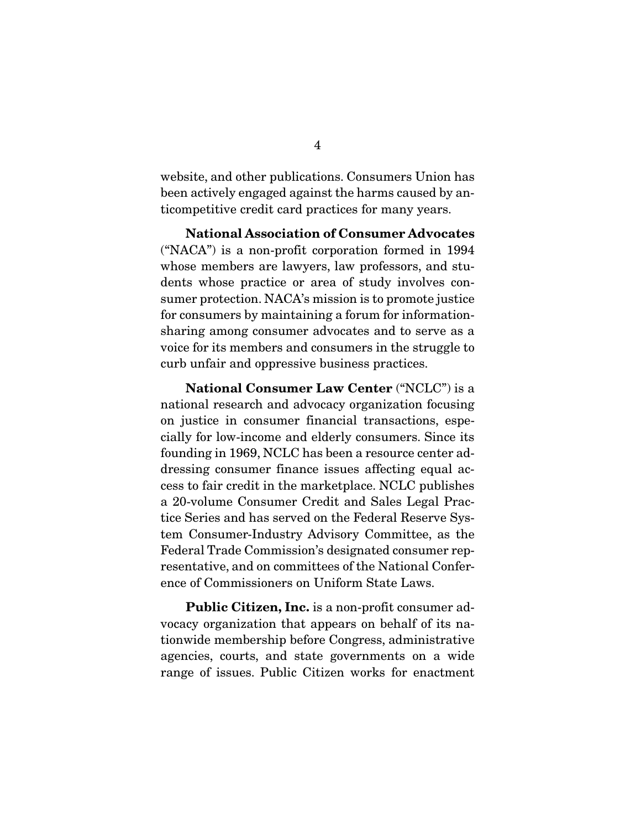website, and other publications. Consumers Union has been actively engaged against the harms caused by anticompetitive credit card practices for many years.

National Association of Consumer Advocates ("NACA") is a non-profit corporation formed in 1994 whose members are lawyers, law professors, and students whose practice or area of study involves consumer protection. NACA's mission is to promote justice for consumers by maintaining a forum for informationsharing among consumer advocates and to serve as a voice for its members and consumers in the struggle to curb unfair and oppressive business practices.

National Consumer Law Center ("NCLC") is a national research and advocacy organization focusing on justice in consumer financial transactions, especially for low-income and elderly consumers. Since its founding in 1969, NCLC has been a resource center addressing consumer finance issues affecting equal access to fair credit in the marketplace. NCLC publishes a 20-volume Consumer Credit and Sales Legal Practice Series and has served on the Federal Reserve System Consumer-Industry Advisory Committee, as the Federal Trade Commission's designated consumer representative, and on committees of the National Conference of Commissioners on Uniform State Laws.

Public Citizen, Inc. is a non-profit consumer advocacy organization that appears on behalf of its nationwide membership before Congress, administrative agencies, courts, and state governments on a wide range of issues. Public Citizen works for enactment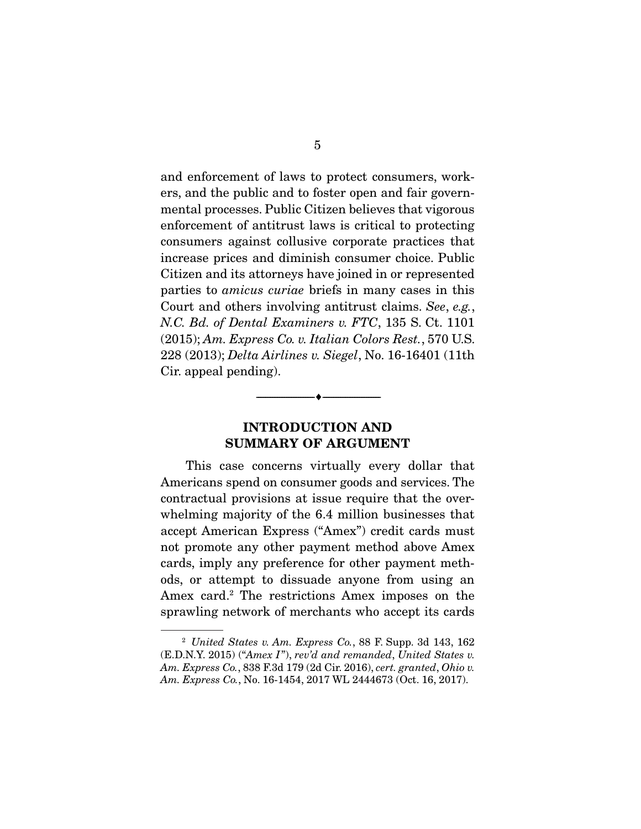and enforcement of laws to protect consumers, workers, and the public and to foster open and fair governmental processes. Public Citizen believes that vigorous enforcement of antitrust laws is critical to protecting consumers against collusive corporate practices that increase prices and diminish consumer choice. Public Citizen and its attorneys have joined in or represented parties to *amicus curiae* briefs in many cases in this Court and others involving antitrust claims. *See*, *e.g.*, *N.C. Bd. of Dental Examiners v. FTC*, 135 S. Ct. 1101 (2015); *Am. Express Co. v. Italian Colors Rest.*, 570 U.S. 228 (2013); *Delta Airlines v. Siegel*, No. 16-16401 (11th Cir. appeal pending).

### INTRODUCTION AND SUMMARY OF ARGUMENT

--------------------------------- ---------------------------------

 This case concerns virtually every dollar that Americans spend on consumer goods and services. The contractual provisions at issue require that the overwhelming majority of the 6.4 million businesses that accept American Express ("Amex") credit cards must not promote any other payment method above Amex cards, imply any preference for other payment methods, or attempt to dissuade anyone from using an Amex card.2 The restrictions Amex imposes on the sprawling network of merchants who accept its cards

<sup>2</sup> *United States v. Am. Express Co.*, 88 F. Supp. 3d 143, 162 (E.D.N.Y. 2015) ("*Amex I*"), *rev'd and remanded*, *United States v. Am. Express Co.*, 838 F.3d 179 (2d Cir. 2016), *cert. granted*, *Ohio v. Am. Express Co.*, No. 16-1454, 2017 WL 2444673 (Oct. 16, 2017).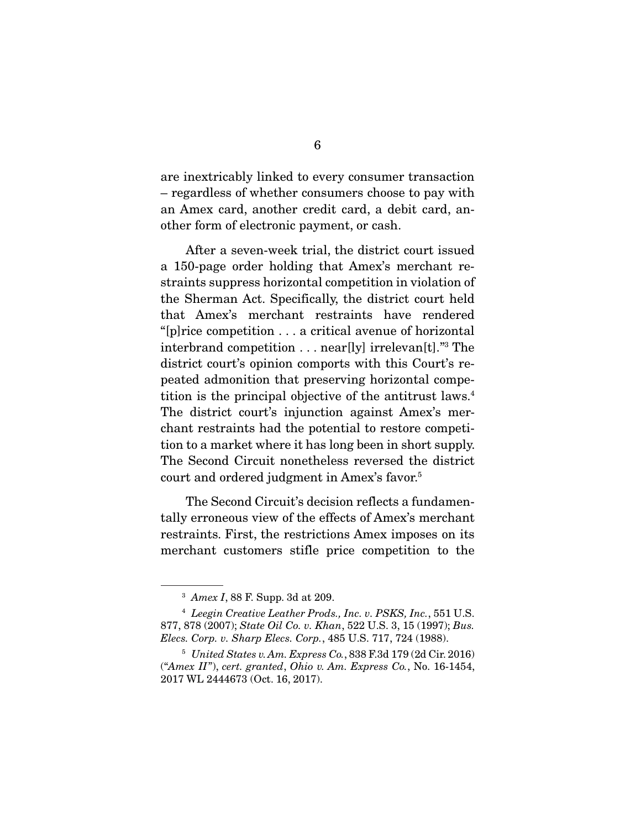are inextricably linked to every consumer transaction – regardless of whether consumers choose to pay with an Amex card, another credit card, a debit card, another form of electronic payment, or cash.

 After a seven-week trial, the district court issued a 150-page order holding that Amex's merchant restraints suppress horizontal competition in violation of the Sherman Act. Specifically, the district court held that Amex's merchant restraints have rendered "[p]rice competition . . . a critical avenue of horizontal interbrand competition . . . near[ly] irrelevan[t]."3 The district court's opinion comports with this Court's repeated admonition that preserving horizontal competition is the principal objective of the antitrust laws.4 The district court's injunction against Amex's merchant restraints had the potential to restore competition to a market where it has long been in short supply. The Second Circuit nonetheless reversed the district court and ordered judgment in Amex's favor.5

 The Second Circuit's decision reflects a fundamentally erroneous view of the effects of Amex's merchant restraints. First, the restrictions Amex imposes on its merchant customers stifle price competition to the

<sup>3</sup> *Amex I*, 88 F. Supp. 3d at 209.

<sup>4</sup> *Leegin Creative Leather Prods., Inc. v. PSKS, Inc.*, 551 U.S. 877, 878 (2007); *State Oil Co. v. Khan*, 522 U.S. 3, 15 (1997); *Bus. Elecs. Corp. v. Sharp Elecs. Corp.*, 485 U.S. 717, 724 (1988).

<sup>5</sup> *United States v. Am. Express Co.*, 838 F.3d 179 (2d Cir. 2016) ("*Amex II*"), *cert. granted*, *Ohio v. Am. Express Co.*, No. 16-1454, 2017 WL 2444673 (Oct. 16, 2017).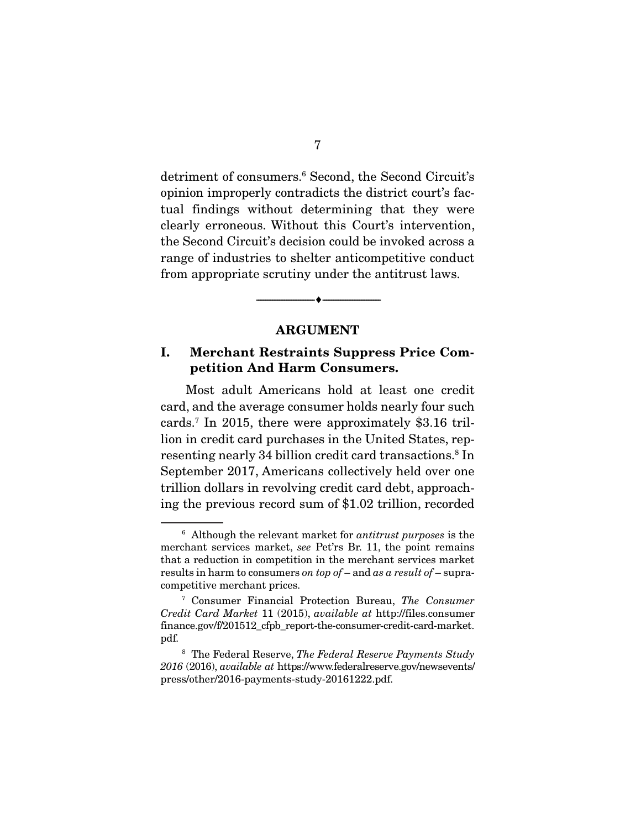detriment of consumers.6 Second, the Second Circuit's opinion improperly contradicts the district court's factual findings without determining that they were clearly erroneous. Without this Court's intervention, the Second Circuit's decision could be invoked across a range of industries to shelter anticompetitive conduct from appropriate scrutiny under the antitrust laws.

#### ARGUMENT

--------------------------------- ---------------------------------

### I. Merchant Restraints Suppress Price Competition And Harm Consumers.

 Most adult Americans hold at least one credit card, and the average consumer holds nearly four such cards.7 In 2015, there were approximately \$3.16 trillion in credit card purchases in the United States, representing nearly 34 billion credit card transactions.<sup>8</sup> In September 2017, Americans collectively held over one trillion dollars in revolving credit card debt, approaching the previous record sum of \$1.02 trillion, recorded

<sup>6</sup> Although the relevant market for *antitrust purposes* is the merchant services market, *see* Pet'rs Br. 11, the point remains that a reduction in competition in the merchant services market results in harm to consumers *on top of* – and *as a result of* – supracompetitive merchant prices.

<sup>7</sup> Consumer Financial Protection Bureau, *The Consumer Credit Card Market* 11 (2015), *available at* http://files.consumer finance.gov/f/201512\_cfpb\_report-the-consumer-credit-card-market. pdf.

<sup>8</sup> The Federal Reserve, *The Federal Reserve Payments Study 2016* (2016), *available at* https://www.federalreserve.gov/newsevents/ press/other/2016-payments-study-20161222.pdf.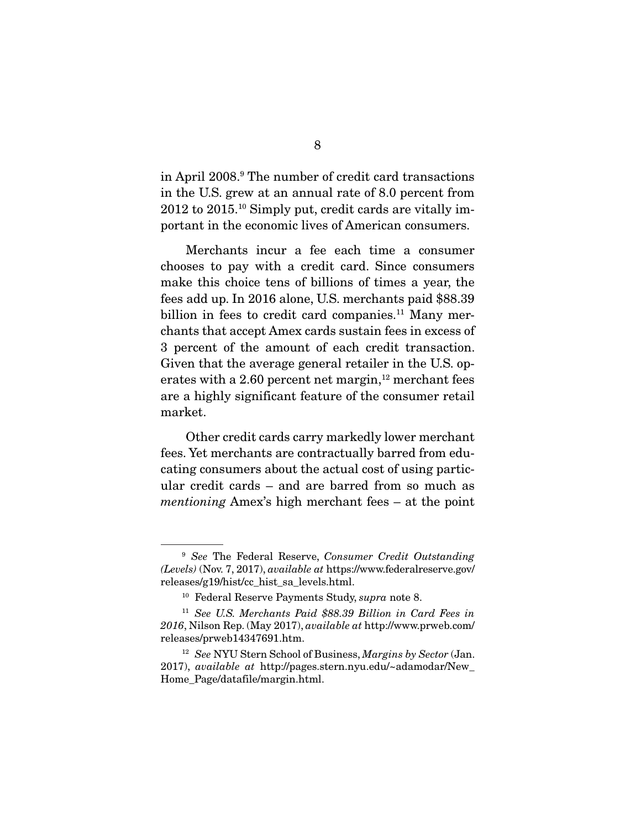in April 2008.9 The number of credit card transactions in the U.S. grew at an annual rate of 8.0 percent from 2012 to 2015.10 Simply put, credit cards are vitally important in the economic lives of American consumers.

 Merchants incur a fee each time a consumer chooses to pay with a credit card. Since consumers make this choice tens of billions of times a year, the fees add up. In 2016 alone, U.S. merchants paid \$88.39 billion in fees to credit card companies.<sup>11</sup> Many merchants that accept Amex cards sustain fees in excess of 3 percent of the amount of each credit transaction. Given that the average general retailer in the U.S. operates with a 2.60 percent net margin, $12$  merchant fees are a highly significant feature of the consumer retail market.

 Other credit cards carry markedly lower merchant fees. Yet merchants are contractually barred from educating consumers about the actual cost of using particular credit cards – and are barred from so much as *mentioning* Amex's high merchant fees – at the point

<sup>9</sup> *See* The Federal Reserve, *Consumer Credit Outstanding (Levels)* (Nov. 7, 2017), *available at* https://www.federalreserve.gov/ releases/g19/hist/cc\_hist\_sa\_levels.html.

<sup>10</sup> Federal Reserve Payments Study, *supra* note 8.

<sup>11</sup> *See U.S. Merchants Paid \$88.39 Billion in Card Fees in 2016*, Nilson Rep. (May 2017), *available at* http://www.prweb.com/ releases/prweb14347691.htm.

<sup>12</sup> *See* NYU Stern School of Business, *Margins by Sector* (Jan. 2017), *available at* http://pages.stern.nyu.edu/~adamodar/New\_ Home\_Page/datafile/margin.html.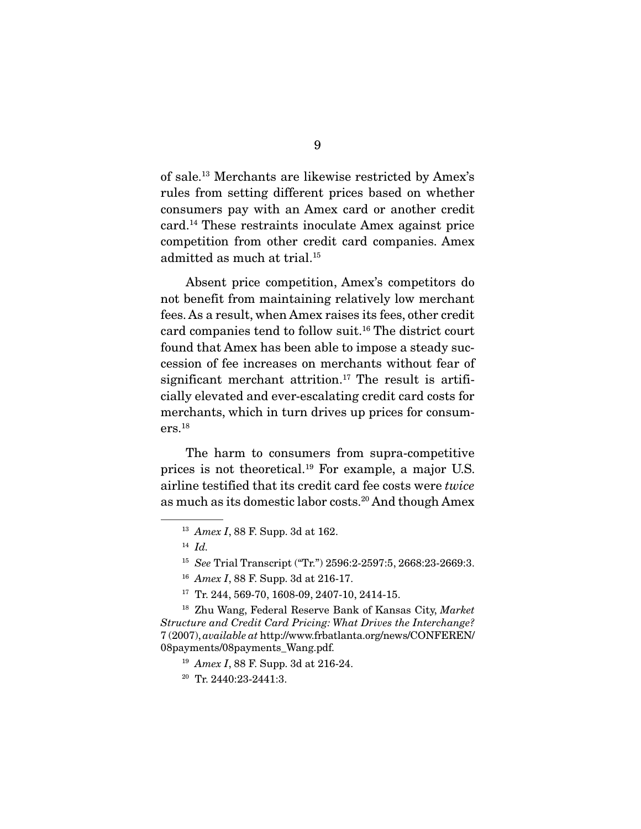of sale.13 Merchants are likewise restricted by Amex's rules from setting different prices based on whether consumers pay with an Amex card or another credit card.14 These restraints inoculate Amex against price competition from other credit card companies. Amex admitted as much at trial.15

 Absent price competition, Amex's competitors do not benefit from maintaining relatively low merchant fees. As a result, when Amex raises its fees, other credit card companies tend to follow suit.16 The district court found that Amex has been able to impose a steady succession of fee increases on merchants without fear of significant merchant attrition.<sup>17</sup> The result is artificially elevated and ever-escalating credit card costs for merchants, which in turn drives up prices for consumers.18

 The harm to consumers from supra-competitive prices is not theoretical.19 For example, a major U.S. airline testified that its credit card fee costs were *twice* as much as its domestic labor costs.20 And though Amex

<sup>13</sup> *Amex I*, 88 F. Supp. 3d at 162.

 $14$  *Id.* 

<sup>15</sup> *See* Trial Transcript ("Tr.") 2596:2-2597:5, 2668:23-2669:3.

<sup>16</sup> *Amex I*, 88 F. Supp. 3d at 216-17.

<sup>&</sup>lt;sup>17</sup> Tr. 244, 569-70, 1608-09, 2407-10, 2414-15.

<sup>18</sup> Zhu Wang, Federal Reserve Bank of Kansas City, *Market Structure and Credit Card Pricing: What Drives the Interchange?* 7 (2007), *available at* http://www.frbatlanta.org/news/CONFEREN/ 08payments/08payments\_Wang.pdf.

<sup>19</sup> *Amex I*, 88 F. Supp. 3d at 216-24.

<sup>20</sup> Tr. 2440:23-2441:3.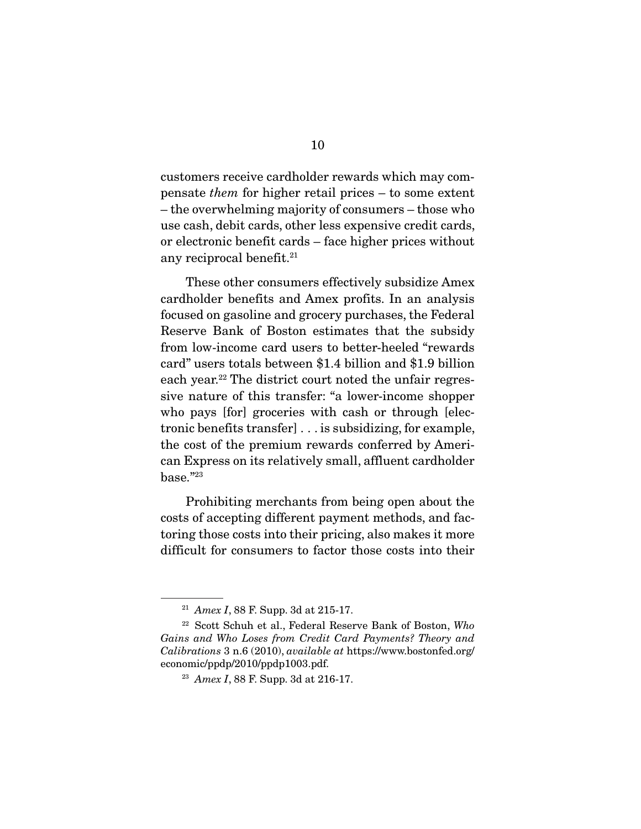customers receive cardholder rewards which may compensate *them* for higher retail prices – to some extent – the overwhelming majority of consumers – those who use cash, debit cards, other less expensive credit cards, or electronic benefit cards – face higher prices without any reciprocal benefit.<sup>21</sup>

 These other consumers effectively subsidize Amex cardholder benefits and Amex profits. In an analysis focused on gasoline and grocery purchases, the Federal Reserve Bank of Boston estimates that the subsidy from low-income card users to better-heeled "rewards card" users totals between \$1.4 billion and \$1.9 billion each year.<sup>22</sup> The district court noted the unfair regressive nature of this transfer: "a lower-income shopper who pays [for] groceries with cash or through [electronic benefits transfer] . . . is subsidizing, for example, the cost of the premium rewards conferred by American Express on its relatively small, affluent cardholder base."23

 Prohibiting merchants from being open about the costs of accepting different payment methods, and factoring those costs into their pricing, also makes it more difficult for consumers to factor those costs into their

<sup>21</sup> *Amex I*, 88 F. Supp. 3d at 215-17.

<sup>22</sup> Scott Schuh et al., Federal Reserve Bank of Boston, *Who Gains and Who Loses from Credit Card Payments? Theory and Calibrations* 3 n.6 (2010), *available at* https://www.bostonfed.org/ economic/ppdp/2010/ppdp1003.pdf.

<sup>23</sup> *Amex I*, 88 F. Supp. 3d at 216-17.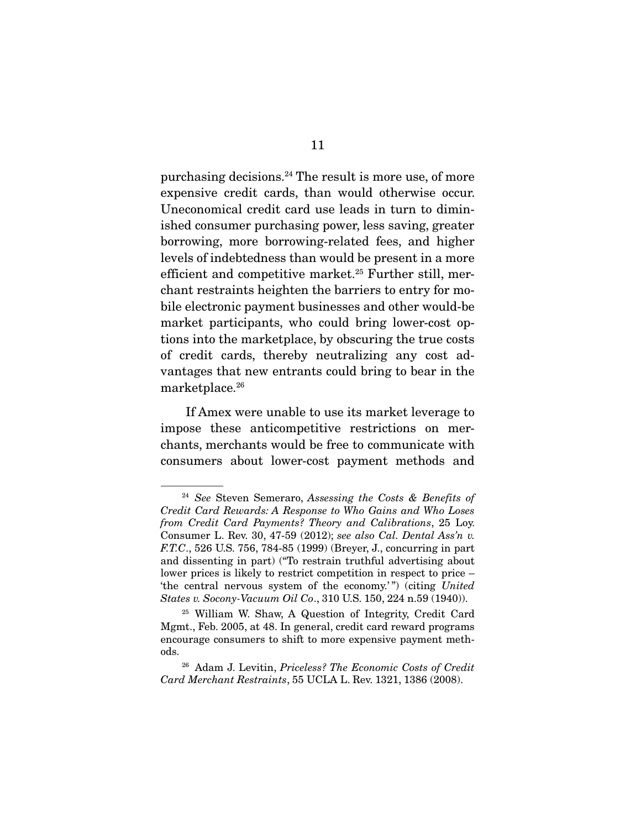purchasing decisions.<sup>24</sup> The result is more use, of more expensive credit cards, than would otherwise occur. Uneconomical credit card use leads in turn to diminished consumer purchasing power, less saving, greater borrowing, more borrowing-related fees, and higher levels of indebtedness than would be present in a more efficient and competitive market.<sup>25</sup> Further still, merchant restraints heighten the barriers to entry for mobile electronic payment businesses and other would-be market participants, who could bring lower-cost options into the marketplace, by obscuring the true costs of credit cards, thereby neutralizing any cost advantages that new entrants could bring to bear in the marketplace.26

 If Amex were unable to use its market leverage to impose these anticompetitive restrictions on merchants, merchants would be free to communicate with consumers about lower-cost payment methods and

<sup>24</sup> *See* Steven Semeraro, *Assessing the Costs & Benefits of Credit Card Rewards: A Response to Who Gains and Who Loses from Credit Card Payments? Theory and Calibrations*, 25 Loy. Consumer L. Rev. 30, 47-59 (2012); *see also Cal. Dental Ass'n v. F.T.C*., 526 U.S. 756, 784-85 (1999) (Breyer, J., concurring in part and dissenting in part) ("To restrain truthful advertising about lower prices is likely to restrict competition in respect to price – 'the central nervous system of the economy.'") (citing *United States v. Socony-Vacuum Oil Co*., 310 U.S. 150, 224 n.59 (1940)).

<sup>25</sup> William W. Shaw, A Question of Integrity, Credit Card Mgmt., Feb. 2005, at 48. In general, credit card reward programs encourage consumers to shift to more expensive payment methods.

<sup>26</sup> Adam J. Levitin, *Priceless? The Economic Costs of Credit Card Merchant Restraints*, 55 UCLA L. Rev. 1321, 1386 (2008).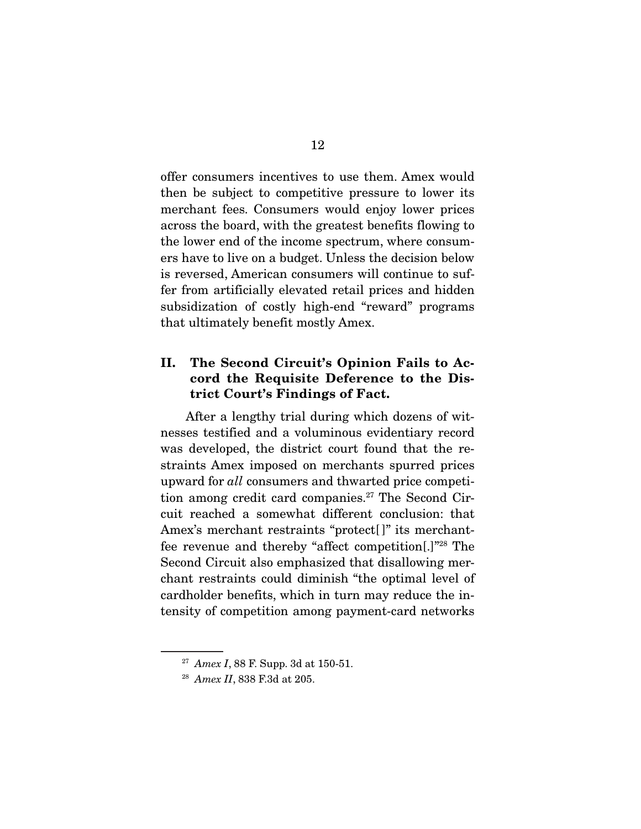offer consumers incentives to use them. Amex would then be subject to competitive pressure to lower its merchant fees. Consumers would enjoy lower prices across the board, with the greatest benefits flowing to the lower end of the income spectrum, where consumers have to live on a budget. Unless the decision below is reversed, American consumers will continue to suffer from artificially elevated retail prices and hidden subsidization of costly high-end "reward" programs that ultimately benefit mostly Amex.

### II. The Second Circuit's Opinion Fails to Accord the Requisite Deference to the District Court's Findings of Fact.

 After a lengthy trial during which dozens of witnesses testified and a voluminous evidentiary record was developed, the district court found that the restraints Amex imposed on merchants spurred prices upward for *all* consumers and thwarted price competition among credit card companies.<sup>27</sup> The Second Circuit reached a somewhat different conclusion: that Amex's merchant restraints "protect[]" its merchantfee revenue and thereby "affect competition[.]"28 The Second Circuit also emphasized that disallowing merchant restraints could diminish "the optimal level of cardholder benefits, which in turn may reduce the intensity of competition among payment-card networks

<sup>27</sup> *Amex I*, 88 F. Supp. 3d at 150-51.

<sup>28</sup> *Amex II*, 838 F.3d at 205.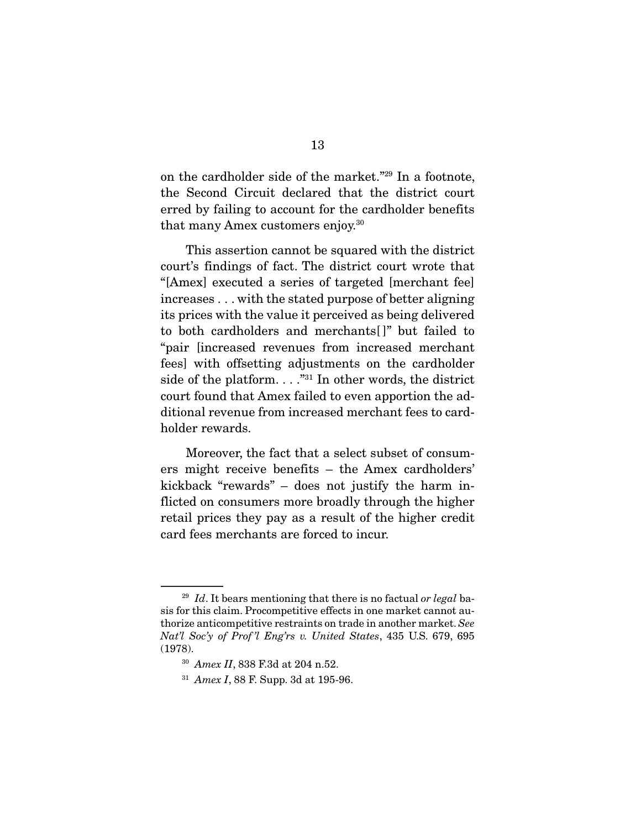on the cardholder side of the market."29 In a footnote, the Second Circuit declared that the district court erred by failing to account for the cardholder benefits that many Amex customers enjoy.30

 This assertion cannot be squared with the district court's findings of fact. The district court wrote that "[Amex] executed a series of targeted [merchant fee] increases . . . with the stated purpose of better aligning its prices with the value it perceived as being delivered to both cardholders and merchants[ ]" but failed to "pair [increased revenues from increased merchant fees] with offsetting adjustments on the cardholder side of the platform.  $\ldots$ <sup>"31</sup> In other words, the district court found that Amex failed to even apportion the additional revenue from increased merchant fees to cardholder rewards.

 Moreover, the fact that a select subset of consumers might receive benefits – the Amex cardholders' kickback "rewards" – does not justify the harm inflicted on consumers more broadly through the higher retail prices they pay as a result of the higher credit card fees merchants are forced to incur.

<sup>29</sup> *Id*. It bears mentioning that there is no factual *or legal* basis for this claim. Procompetitive effects in one market cannot authorize anticompetitive restraints on trade in another market. *See Nat'l Soc'y of Prof 'l Eng'rs v. United States*, 435 U.S. 679, 695 (1978).

<sup>30</sup> *Amex II*, 838 F.3d at 204 n.52.

<sup>31</sup> *Amex I*, 88 F. Supp. 3d at 195-96.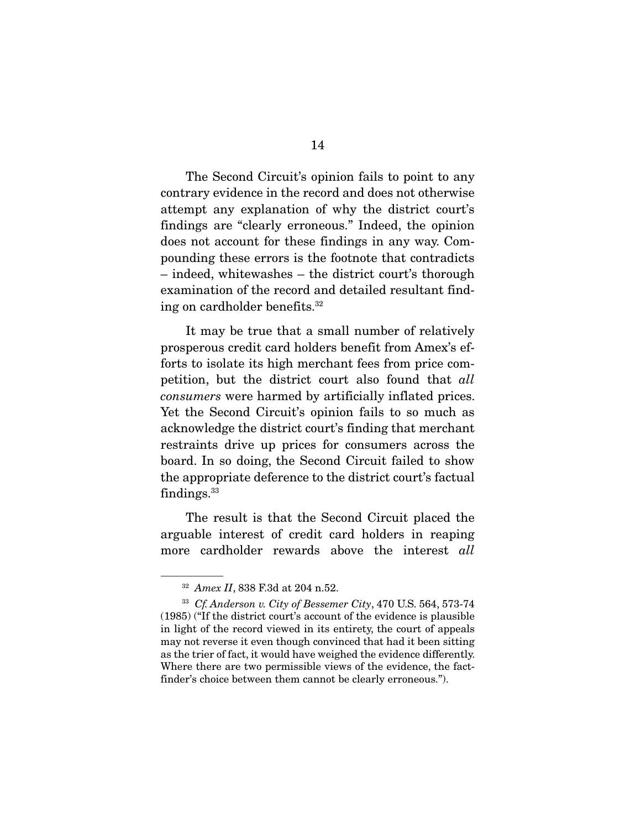The Second Circuit's opinion fails to point to any contrary evidence in the record and does not otherwise attempt any explanation of why the district court's findings are "clearly erroneous." Indeed, the opinion does not account for these findings in any way. Compounding these errors is the footnote that contradicts – indeed, whitewashes – the district court's thorough examination of the record and detailed resultant finding on cardholder benefits.32

 It may be true that a small number of relatively prosperous credit card holders benefit from Amex's efforts to isolate its high merchant fees from price competition, but the district court also found that *all consumers* were harmed by artificially inflated prices. Yet the Second Circuit's opinion fails to so much as acknowledge the district court's finding that merchant restraints drive up prices for consumers across the board. In so doing, the Second Circuit failed to show the appropriate deference to the district court's factual findings. $33$ 

 The result is that the Second Circuit placed the arguable interest of credit card holders in reaping more cardholder rewards above the interest *all*

<sup>32</sup> *Amex II*, 838 F.3d at 204 n.52.

<sup>33</sup> *Cf. Anderson v. City of Bessemer City*, 470 U.S. 564, 573-74 (1985) ("If the district court's account of the evidence is plausible in light of the record viewed in its entirety, the court of appeals may not reverse it even though convinced that had it been sitting as the trier of fact, it would have weighed the evidence differently. Where there are two permissible views of the evidence, the factfinder's choice between them cannot be clearly erroneous.").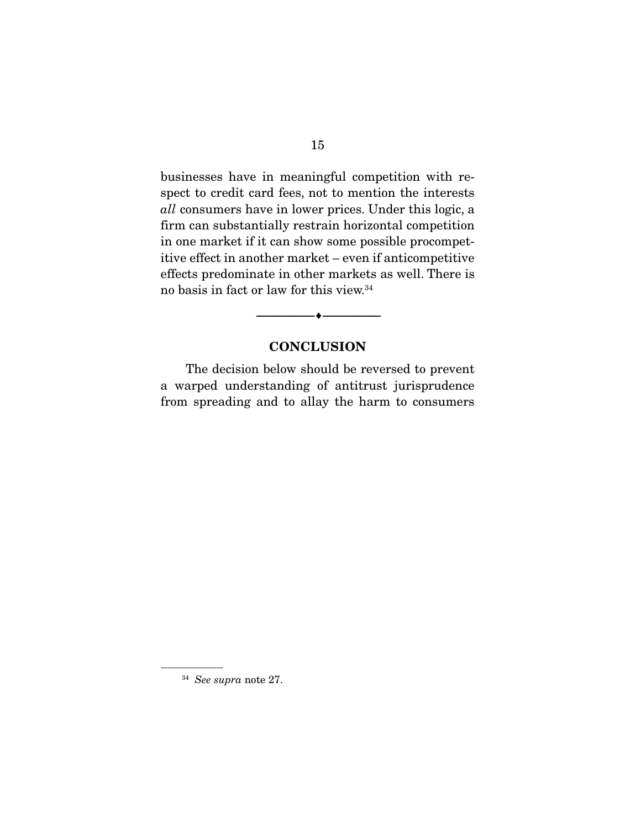businesses have in meaningful competition with respect to credit card fees, not to mention the interests *all* consumers have in lower prices. Under this logic, a firm can substantially restrain horizontal competition in one market if it can show some possible procompetitive effect in another market – even if anticompetitive effects predominate in other markets as well. There is no basis in fact or law for this view.34

### **CONCLUSION**

--------------------------------- ---------------------------------

 The decision below should be reversed to prevent a warped understanding of antitrust jurisprudence from spreading and to allay the harm to consumers

<sup>34</sup> *See supra* note 27.